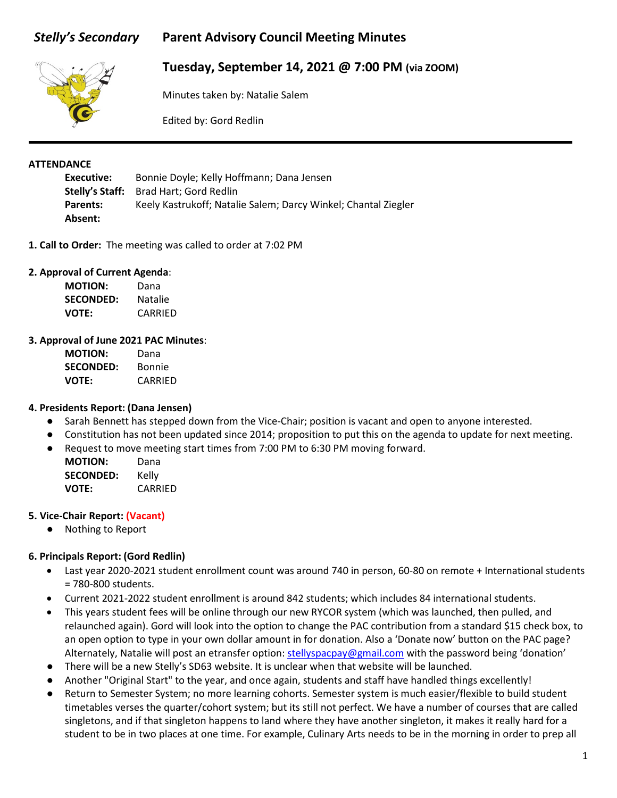# *Stelly's Secondary* **Parent Advisory Council Meeting Minutes**



# **Tuesday, September 14, 2021 @ 7:00 PM (via ZOOM)**

Minutes taken by: Natalie Salem

Edited by: Gord Redlin

#### **ATTENDANCE**

**Executive:** Bonnie Doyle; Kelly Hoffmann; Dana Jensen **Stelly's Staff:** Brad Hart; Gord Redlin Parents: Keely Kastrukoff; Natalie Salem; Darcy Winkel; Chantal Ziegler **Absent:**

**1. Call to Order:** The meeting was called to order at 7:02 PM

#### **2. Approval of Current Agenda**:

| <b>MOTION:</b>   | Dana    |
|------------------|---------|
| <b>SECONDED:</b> | Natalie |
| <b>VOTE:</b>     | CARRIED |

#### **3. Approval of June 2021 PAC Minutes**:

| <b>MOTION:</b>   | Dana    |
|------------------|---------|
| <b>SECONDED:</b> | Bonnie  |
| <b>VOTE:</b>     | CARRIED |

#### **4. Presidents Report: (Dana Jensen)**

- Sarah Bennett has stepped down from the Vice-Chair; position is vacant and open to anyone interested.
- Constitution has not been updated since 2014; proposition to put this on the agenda to update for next meeting.
- Request to move meeting start times from 7:00 PM to 6:30 PM moving forward.

**MOTION:** Dana **SECONDED:** Kelly **VOTE:** CARRIED

#### **5. Vice-Chair Report: (Vacant)**

● Nothing to Report

### **6. Principals Report: (Gord Redlin)**

- Last year 2020-2021 student enrollment count was around 740 in person, 60-80 on remote + International students = 780-800 students.
- Current 2021-2022 student enrollment is around 842 students; which includes 84 international students.
- This years student fees will be online through our new RYCOR system (which was launched, then pulled, and relaunched again). Gord will look into the option to change the PAC contribution from a standard \$15 check box, to an open option to type in your own dollar amount in for donation. Also a 'Donate now' button on the PAC page? Alternately, Natalie will post an etransfer option: [stellyspacpay@gmail.com](mailto:stellyspacpay@gmail.com) with the password being 'donation'
- There will be a new Stelly's SD63 website. It is unclear when that website will be launched.
- Another "Original Start" to the year, and once again, students and staff have handled things excellently!
- Return to Semester System; no more learning cohorts. Semester system is much easier/flexible to build student timetables verses the quarter/cohort system; but its still not perfect. We have a number of courses that are called singletons, and if that singleton happens to land where they have another singleton, it makes it really hard for a student to be in two places at one time. For example, Culinary Arts needs to be in the morning in order to prep all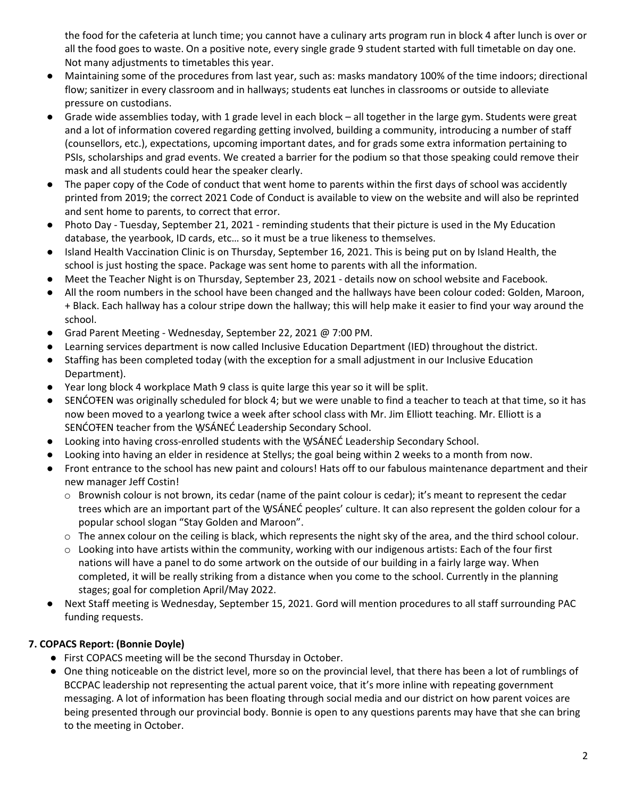the food for the cafeteria at lunch time; you cannot have a culinary arts program run in block 4 after lunch is over or all the food goes to waste. On a positive note, every single grade 9 student started with full timetable on day one. Not many adjustments to timetables this year.

- Maintaining some of the procedures from last year, such as: masks mandatory 100% of the time indoors; directional flow; sanitizer in every classroom and in hallways; students eat lunches in classrooms or outside to alleviate pressure on custodians.
- Grade wide assemblies today, with 1 grade level in each block all together in the large gym. Students were great and a lot of information covered regarding getting involved, building a community, introducing a number of staff (counsellors, etc.), expectations, upcoming important dates, and for grads some extra information pertaining to PSIs, scholarships and grad events. We created a barrier for the podium so that those speaking could remove their mask and all students could hear the speaker clearly.
- The paper copy of the Code of conduct that went home to parents within the first days of school was accidently printed from 2019; the correct 2021 Code of Conduct is available to view on the website and will also be reprinted and sent home to parents, to correct that error.
- Photo Day Tuesday, September 21, 2021 reminding students that their picture is used in the My Education database, the yearbook, ID cards, etc… so it must be a true likeness to themselves.
- Island Health Vaccination Clinic is on Thursday, September 16, 2021. This is being put on by Island Health, the school is just hosting the space. Package was sent home to parents with all the information.
- Meet the Teacher Night is on Thursday, September 23, 2021 details now on school website and Facebook.
- All the room numbers in the school have been changed and the hallways have been colour coded: Golden, Maroon, + Black. Each hallway has a colour stripe down the hallway; this will help make it easier to find your way around the school.
- Grad Parent Meeting Wednesday, September 22, 2021 @ 7:00 PM.
- Learning services department is now called Inclusive Education Department (IED) throughout the district.
- Staffing has been completed today (with the exception for a small adjustment in our Inclusive Education Department).
- Year long block 4 workplace Math 9 class is quite large this year so it will be split.
- SENĆOTEN was originally scheduled for block 4; but we were unable to find a teacher to teach at that time, so it has now been moved to a yearlong twice a week after school class with Mr. Jim Elliott teaching. Mr. Elliott is a SENCOTEN teacher from the WSANEC Leadership Secondary School.
- Looking into having cross-enrolled students with the WSANEC Leadership Secondary School.
- Looking into having an elder in residence at Stellys; the goal being within 2 weeks to a month from now.
- Front entrance to the school has new paint and colours! Hats off to our fabulous maintenance department and their new manager Jeff Costin!
	- $\circ$  Brownish colour is not brown, its cedar (name of the paint colour is cedar); it's meant to represent the cedar trees which are an important part of the W̱SÁNEĆ peoples' culture. It can also represent the golden colour for a popular school slogan "Stay Golden and Maroon".
	- $\circ$  The annex colour on the ceiling is black, which represents the night sky of the area, and the third school colour.
	- $\circ$  Looking into have artists within the community, working with our indigenous artists: Each of the four first nations will have a panel to do some artwork on the outside of our building in a fairly large way. When completed, it will be really striking from a distance when you come to the school. Currently in the planning stages; goal for completion April/May 2022.
- Next Staff meeting is Wednesday, September 15, 2021. Gord will mention procedures to all staff surrounding PAC funding requests.

## **7. COPACS Report: (Bonnie Doyle)**

- First COPACS meeting will be the second Thursday in October.
- One thing noticeable on the district level, more so on the provincial level, that there has been a lot of rumblings of BCCPAC leadership not representing the actual parent voice, that it's more inline with repeating government messaging. A lot of information has been floating through social media and our district on how parent voices are being presented through our provincial body. Bonnie is open to any questions parents may have that she can bring to the meeting in October.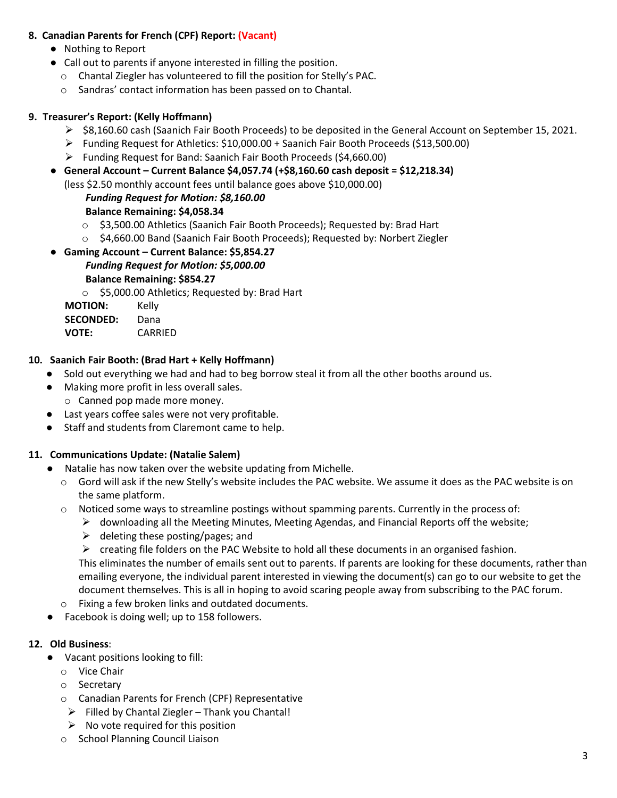### **8. Canadian Parents for French (CPF) Report: (Vacant)**

- Nothing to Report
- Call out to parents if anyone interested in filling the position.
	- o Chantal Ziegler has volunteered to fill the position for Stelly's PAC.
	- o Sandras' contact information has been passed on to Chantal.

### **9. Treasurer's Report: (Kelly Hoffmann)**

- $\triangleright$  \$8,160.60 cash (Saanich Fair Booth Proceeds) to be deposited in the General Account on September 15, 2021.
- Funding Request for Athletics: \$10,000.00 + Saanich Fair Booth Proceeds (\$13,500.00)
- Funding Request for Band: Saanich Fair Booth Proceeds (\$4,660.00)
- **General Account – Current Balance \$4,057.74 (+\$8,160.60 cash deposit = \$12,218.34)**

(less \$2.50 monthly account fees until balance goes above \$10,000.00)

#### *Funding Request for Motion: \$8,160.00*

**Balance Remaining: \$4,058.34**

- o \$3,500.00 Athletics (Saanich Fair Booth Proceeds); Requested by: Brad Hart
- o \$4,660.00 Band (Saanich Fair Booth Proceeds); Requested by: Norbert Ziegler
- **Gaming Account – Current Balance: \$5,854.27** *Funding Request for Motion: \$5,000.00* **Balance Remaining: \$854.27**
	- o \$5,000.00 Athletics; Requested by: Brad Hart

**MOTION:** Kelly **SECONDED:** Dana **VOTE:** CARRIED

### **10. Saanich Fair Booth: (Brad Hart + Kelly Hoffmann)**

- Sold out everything we had and had to beg borrow steal it from all the other booths around us.
- Making more profit in less overall sales.
	- o Canned pop made more money.
- Last years coffee sales were not very profitable.
- Staff and students from Claremont came to help.

### **11. Communications Update: (Natalie Salem)**

- Natalie has now taken over the website updating from Michelle.
	- o Gord will ask if the new Stelly's website includes the PAC website. We assume it does as the PAC website is on the same platform.
	- o Noticed some ways to streamline postings without spamming parents. Currently in the process of:
		- $\triangleright$  downloading all the Meeting Minutes, Meeting Agendas, and Financial Reports off the website;
		- $\triangleright$  deleting these posting/pages; and
		- $\triangleright$  creating file folders on the PAC Website to hold all these documents in an organised fashion.

This eliminates the number of emails sent out to parents. If parents are looking for these documents, rather than emailing everyone, the individual parent interested in viewing the document(s) can go to our website to get the document themselves. This is all in hoping to avoid scaring people away from subscribing to the PAC forum.

- o Fixing a few broken links and outdated documents.
- Facebook is doing well; up to 158 followers.

#### **12. Old Business**:

- Vacant positions looking to fill:
	- o Vice Chair
	- o Secretary
	- o Canadian Parents for French (CPF) Representative
	- $\triangleright$  Filled by Chantal Ziegler Thank you Chantal!
	- $\triangleright$  No vote required for this position
	- o School Planning Council Liaison